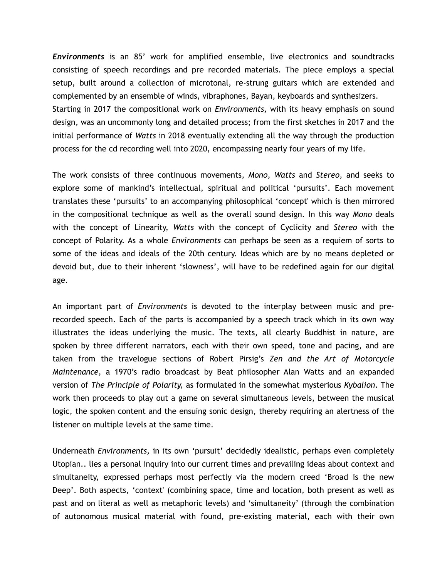*Environments* is an 85' work for amplified ensemble, live electronics and soundtracks consisting of speech recordings and pre recorded materials. The piece employs a special setup, built around a collection of microtonal, re-strung guitars which are extended and complemented by an ensemble of winds, vibraphones, Bayan, keyboards and synthesizers. Starting in 2017 the compositional work on *Environments,* with its heavy emphasis on sound design, was an uncommonly long and detailed process; from the first sketches in 2017 and the initial performance of *Watts* in 2018 eventually extending all the way through the production process for the cd recording well into 2020, encompassing nearly four years of my life.

The work consists of three continuous movements, *Mono, Watts* and *Stereo,* and seeks to explore some of mankind's intellectual, spiritual and political 'pursuits'. Each movement translates these 'pursuits' to an accompanying philosophical 'concept' which is then mirrored in the compositional technique as well as the overall sound design. In this way *Mono* deals with the concept of Linearity, *Watts* with the concept of Cyclicity and *Stereo* with the concept of Polarity. As a whole *Environments* can perhaps be seen as a requiem of sorts to some of the ideas and ideals of the 20th century. Ideas which are by no means depleted or devoid but, due to their inherent 'slowness', will have to be redefined again for our digital age.

An important part of *Environments* is devoted to the interplay between music and prerecorded speech. Each of the parts is accompanied by a speech track which in its own way illustrates the ideas underlying the music. The texts, all clearly Buddhist in nature, are spoken by three different narrators, each with their own speed, tone and pacing, and are taken from the travelogue sections of Robert Pirsig's *Zen and the Art of Motorcycle Maintenance,* a 1970's radio broadcast by Beat philosopher Alan Watts and an expanded version of *The Principle of Polarity,* as formulated in the somewhat mysterious *Kybalion*. The work then proceeds to play out a game on several simultaneous levels, between the musical logic, the spoken content and the ensuing sonic design, thereby requiring an alertness of the listener on multiple levels at the same time.

Underneath *Environments,* in its own 'pursuit' decidedly idealistic, perhaps even completely Utopian.. lies a personal inquiry into our current times and prevailing ideas about context and simultaneity, expressed perhaps most perfectly via the modern creed 'Broad is the new Deep'. Both aspects, 'context' (combining space, time and location, both present as well as past and on literal as well as metaphoric levels) and 'simultaneity' (through the combination of autonomous musical material with found, pre-existing material, each with their own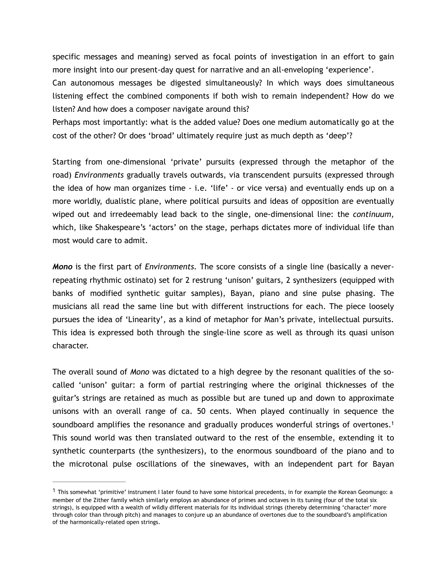specific messages and meaning) served as focal points of investigation in an effort to gain more insight into our present-day quest for narrative and an all-enveloping 'experience'.

Can autonomous messages be digested simultaneously? In which ways does simultaneous listening effect the combined components if both wish to remain independent? How do we listen? And how does a composer navigate around this?

Perhaps most importantly: what is the added value? Does one medium automatically go at the cost of the other? Or does 'broad' ultimately require just as much depth as 'deep'?

Starting from one-dimensional 'private' pursuits (expressed through the metaphor of the road) *Environments* gradually travels outwards, via transcendent pursuits (expressed through the idea of how man organizes time - i.e. 'life' - or vice versa) and eventually ends up on a more worldly, dualistic plane, where political pursuits and ideas of opposition are eventually wiped out and irredeemably lead back to the single, one-dimensional line: the *continuum,* which, like Shakespeare's 'actors' on the stage, perhaps dictates more of individual life than most would care to admit.

*Mono* is the first part of *Environments.* The score consists of a single line (basically a neverrepeating rhythmic ostinato) set for 2 restrung 'unison' guitars, 2 synthesizers (equipped with banks of modified synthetic guitar samples), Bayan, piano and sine pulse phasing. The musicians all read the same line but with different instructions for each. The piece loosely pursues the idea of 'Linearity', as a kind of metaphor for Man's private, intellectual pursuits. This idea is expressed both through the single-line score as well as through its quasi unison character.

<span id="page-1-1"></span>The overall sound of *Mono* was dictated to a high degree by the resonant qualities of the socalled 'unison' guitar: a form of partial restringing where the original thicknesses of the guitar's strings are retained as much as possible but are tuned up and down to approximate unisons with an overall range of ca. 50 cents. When played continually in sequence the soundboard amplifies the resonance and gradually produces wonderful strings of overtones.<sup>1</sup> This sound world was then translated outward to the rest of the ensemble, extending it to synthetic counterparts (the synthesizers), to the enormous soundboard of the piano and to the microtonal pulse oscillations of the sinewaves, with an independent part for Bayan

<span id="page-1-0"></span> $1$  This somewhat 'primitive' instrument I later found to have some historical precedents, in for example the Korean Geomungo: a member of the Zither family which similarly employs an abundance of primes and octaves in its tuning (four of the total six strings), is equipped with a wealth of wildly different materials for its individual strings (thereby determining 'character' more through color than through pitch) and manages to conjure up an abundance of overtones due to the soundboard's amplification of the harmonically-related open strings.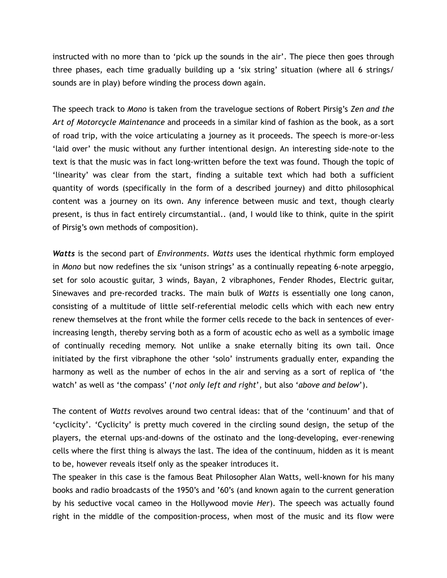instructed with no more than to 'pick up the sounds in the air'. The piece then goes through three phases, each time gradually building up a 'six string' situation (where all 6 strings/ sounds are in play) before winding the process down again.

The speech track to *Mono* is taken from the travelogue sections of Robert Pirsig's *Zen and the Art of Motorcycle Maintenance* and proceeds in a similar kind of fashion as the book, as a sort of road trip, with the voice articulating a journey as it proceeds. The speech is more-or-less 'laid over' the music without any further intentional design. An interesting side-note to the text is that the music was in fact long-written before the text was found. Though the topic of 'linearity' was clear from the start, finding a suitable text which had both a sufficient quantity of words (specifically in the form of a described journey) and ditto philosophical content was a journey on its own. Any inference between music and text, though clearly present, is thus in fact entirely circumstantial.. (and, I would like to think, quite in the spirit of Pirsig's own methods of composition).

*Watts* is the second part of *Environments*. *Watts* uses the identical rhythmic form employed in *Mono* but now redefines the six 'unison strings' as a continually repeating 6-note arpeggio, set for solo acoustic guitar, 3 winds, Bayan, 2 vibraphones, Fender Rhodes, Electric guitar, Sinewaves and pre-recorded tracks. The main bulk of *Watts* is essentially one long canon, consisting of a multitude of little self-referential melodic cells which with each new entry renew themselves at the front while the former cells recede to the back in sentences of everincreasing length, thereby serving both as a form of acoustic echo as well as a symbolic image of continually receding memory. Not unlike a snake eternally biting its own tail. Once initiated by the first vibraphone the other 'solo' instruments gradually enter, expanding the harmony as well as the number of echos in the air and serving as a sort of replica of 'the watch' as well as 'the compass' ('*not only left and right*', but also '*above and below*').

The content of *Watts* revolves around two central ideas: that of the 'continuum' and that of 'cyclicity'. 'Cyclicity' is pretty much covered in the circling sound design, the setup of the players, the eternal ups-and-downs of the ostinato and the long-developing, ever-renewing cells where the first thing is always the last. The idea of the continuum, hidden as it is meant to be, however reveals itself only as the speaker introduces it.

The speaker in this case is the famous Beat Philosopher Alan Watts, well-known for his many books and radio broadcasts of the 1950's and '60's (and known again to the current generation by his seductive vocal cameo in the Hollywood movie *Her*). The speech was actually found right in the middle of the composition-process, when most of the music and its flow were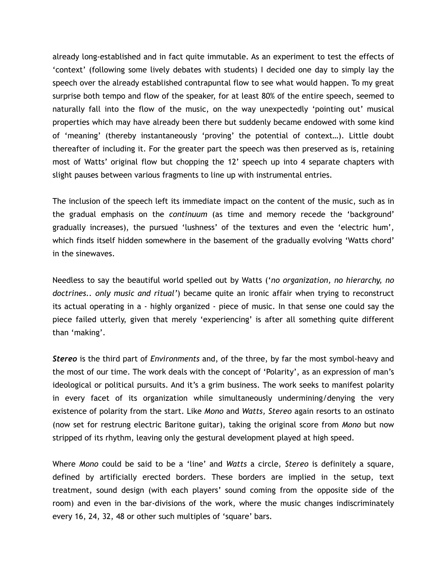already long-established and in fact quite immutable. As an experiment to test the effects of 'context' (following some lively debates with students) I decided one day to simply lay the speech over the already established contrapuntal flow to see what would happen. To my great surprise both tempo and flow of the speaker, for at least 80% of the entire speech, seemed to naturally fall into the flow of the music, on the way unexpectedly 'pointing out' musical properties which may have already been there but suddenly became endowed with some kind of 'meaning' (thereby instantaneously 'proving' the potential of context…). Little doubt thereafter of including it. For the greater part the speech was then preserved as is, retaining most of Watts' original flow but chopping the 12' speech up into 4 separate chapters with slight pauses between various fragments to line up with instrumental entries.

The inclusion of the speech left its immediate impact on the content of the music, such as in the gradual emphasis on the *continuum* (as time and memory recede the 'background' gradually increases), the pursued 'lushness' of the textures and even the 'electric hum', which finds itself hidden somewhere in the basement of the gradually evolving 'Watts chord' in the sinewaves.

Needless to say the beautiful world spelled out by Watts ('*no organization, no hierarchy, no doctrines.. only music and ritual'*) became quite an ironic affair when trying to reconstruct its actual operating in a - highly organized - piece of music. In that sense one could say the piece failed utterly, given that merely 'experiencing' is after all something quite different than 'making'.

*Stereo* is the third part of *Environments* and, of the three, by far the most symbol-heavy and the most of our time. The work deals with the concept of 'Polarity', as an expression of man's ideological or political pursuits. And it's a grim business. The work seeks to manifest polarity in every facet of its organization while simultaneously undermining/denying the very existence of polarity from the start. Like *Mono* and *Watts, Stereo* again resorts to an ostinato (now set for restrung electric Baritone guitar), taking the original score from *Mono* but now stripped of its rhythm, leaving only the gestural development played at high speed.

Where *Mono* could be said to be a 'line' and *Watts* a circle, *Stereo* is definitely a square, defined by artificially erected borders. These borders are implied in the setup, text treatment, sound design (with each players' sound coming from the opposite side of the room) and even in the bar-divisions of the work, where the music changes indiscriminately every 16, 24, 32, 48 or other such multiples of 'square' bars.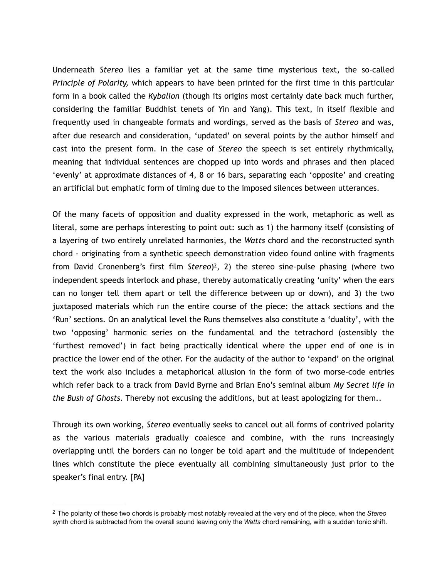Underneath *Stereo* lies a familiar yet at the same time mysterious text, the so-called *Principle of Polarity,* which appears to have been printed for the first time in this particular form in a book called the *Kybalion* (though its origins most certainly date back much further, considering the familiar Buddhist tenets of Yin and Yang). This text, in itself flexible and frequently used in changeable formats and wordings, served as the basis of *Stereo* and was, after due research and consideration, 'updated' on several points by the author himself and cast into the present form. In the case of *Stereo* the speech is set entirely rhythmically, meaning that individual sentences are chopped up into words and phrases and then placed 'evenly' at approximate distances of 4, 8 or 16 bars, separating each 'opposite' and creating an artificial but emphatic form of timing due to the imposed silences between utterances.

<span id="page-4-1"></span>Of the many facets of opposition and duality expressed in the work, metaphoric as well as literal, some are perhaps interesting to point out: such as 1) the harmony itself (consisting of a layering of two entirely unrelated harmonies, the *Watts* chord and the reconstructed synth chord - originating from a synthetic speech demonstration video found online with fragments from David Cronenberg's first film Stereo<sup>[2](#page-4-0)</sup>, 2) the stereo sine-pulse phasing (where two independent speeds interlock and phase, thereby automatically creating 'unity' when the ears can no longer tell them apart or tell the difference between up or down), and 3) the two juxtaposed materials which run the entire course of the piece: the attack sections and the 'Run' sections. On an analytical level the Runs themselves also constitute a 'duality', with the two 'opposing' harmonic series on the fundamental and the tetrachord (ostensibly the 'furthest removed') in fact being practically identical where the upper end of one is in practice the lower end of the other. For the audacity of the author to 'expand' on the original text the work also includes a metaphorical allusion in the form of two morse-code entries which refer back to a track from David Byrne and Brian Eno's seminal album *My Secret life in the Bush of Ghosts*. Thereby not excusing the additions, but at least apologizing for them..

Through its own working, *Stereo* eventually seeks to cancel out all forms of contrived polarity as the various materials gradually coalesce and combine, with the runs increasingly overlapping until the borders can no longer be told apart and the multitude of independent lines which constitute the piece eventually all combining simultaneously just prior to the speaker's final entry. [PA]

<span id="page-4-0"></span>The polarity of these two chords is probably most notably revealed at the very end of the piece, when the *Stereo* [2](#page-4-1) synth chord is subtracted from the overall sound leaving only the *Watts* chord remaining, with a sudden tonic shift.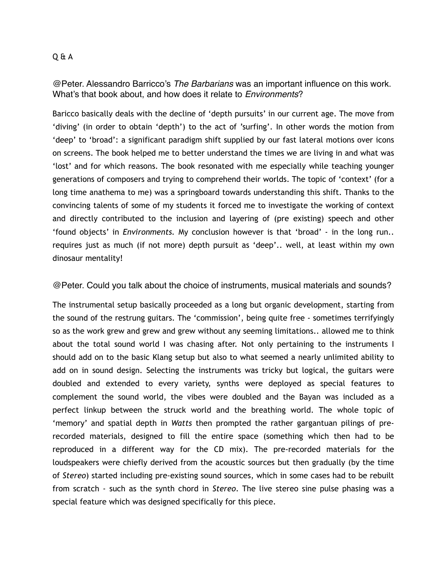## Q & A

@Peter. Alessandro Barricco's *The Barbarians* was an important influence on this work. What's that book about, and how does it relate to *Environments*?

Baricco basically deals with the decline of 'depth pursuits' in our current age. The move from 'diving' (in order to obtain 'depth') to the act of 'surfing'. In other words the motion from 'deep' to 'broad': a significant paradigm shift supplied by our fast lateral motions over icons on screens. The book helped me to better understand the times we are living in and what was 'lost' and for which reasons. The book resonated with me especially while teaching younger generations of composers and trying to comprehend their worlds. The topic of 'context' (for a long time anathema to me) was a springboard towards understanding this shift. Thanks to the convincing talents of some of my students it forced me to investigate the working of context and directly contributed to the inclusion and layering of (pre existing) speech and other 'found objects' in *Environments.* My conclusion however is that 'broad' - in the long run.. requires just as much (if not more) depth pursuit as 'deep'.. well, at least within my own dinosaur mentality!

@Peter. Could you talk about the choice of instruments, musical materials and sounds?

The instrumental setup basically proceeded as a long but organic development, starting from the sound of the restrung guitars. The 'commission', being quite free - sometimes terrifyingly so as the work grew and grew and grew without any seeming limitations.. allowed me to think about the total sound world I was chasing after. Not only pertaining to the instruments I should add on to the basic Klang setup but also to what seemed a nearly unlimited ability to add on in sound design. Selecting the instruments was tricky but logical, the guitars were doubled and extended to every variety, synths were deployed as special features to complement the sound world, the vibes were doubled and the Bayan was included as a perfect linkup between the struck world and the breathing world. The whole topic of 'memory' and spatial depth in *Watts* then prompted the rather gargantuan pilings of prerecorded materials, designed to fill the entire space (something which then had to be reproduced in a different way for the CD mix). The pre-recorded materials for the loudspeakers were chiefly derived from the acoustic sources but then gradually (by the time of *Stereo*) started including pre-existing sound sources, which in some cases had to be rebuilt from scratch - such as the synth chord in *Stereo*. The live stereo sine pulse phasing was a special feature which was designed specifically for this piece.